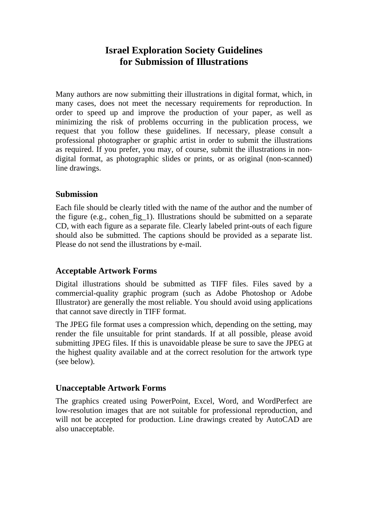# **Israel Exploration Society Guidelines for Submission of Illustrations**

Many authors are now submitting their illustrations in digital format, which, in many cases, does not meet the necessary requirements for reproduction. In order to speed up and improve the production of your paper, as well as minimizing the risk of problems occurring in the publication process, we request that you follow these guidelines. If necessary, please consult a professional photographer or graphic artist in order to submit the illustrations as required. If you prefer, you may, of course, submit the illustrations in nondigital format, as photographic slides or prints, or as original (non-scanned) line drawings.

#### **Submission**

Each file should be clearly titled with the name of the author and the number of the figure (e.g., cohen\_fig\_1). Illustrations should be submitted on a separate CD, with each figure as a separate file. Clearly labeled print-outs of each figure should also be submitted. The captions should be provided as a separate list. Please do not send the illustrations by e-mail.

# **Acceptable Artwork Forms**

Digital illustrations should be submitted as TIFF files. Files saved by a commercial-quality graphic program (such as Adobe Photoshop or Adobe Illustrator) are generally the most reliable. You should avoid using applications that cannot save directly in TIFF format.

The JPEG file format uses a compression which, depending on the setting, may render the file unsuitable for print standards. If at all possible, please avoid submitting JPEG files. If this is unavoidable please be sure to save the JPEG at the highest quality available and at the correct resolution for the artwork type (see below).

#### **Unacceptable Artwork Forms**

The graphics created using PowerPoint, Excel, Word, and WordPerfect are low-resolution images that are not suitable for professional reproduction, and will not be accepted for production. Line drawings created by AutoCAD are also unacceptable.